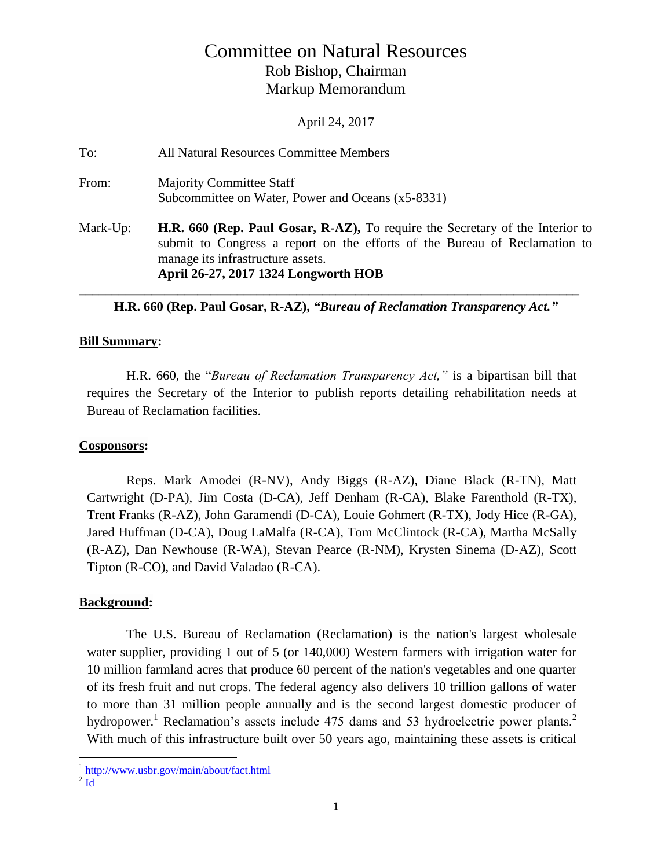# Committee on Natural Resources Rob Bishop, Chairman Markup Memorandum

April 24, 2017

| To:      | All Natural Resources Committee Members                                                                                                                                                                                                  |
|----------|------------------------------------------------------------------------------------------------------------------------------------------------------------------------------------------------------------------------------------------|
| From:    | <b>Majority Committee Staff</b><br>Subcommittee on Water, Power and Oceans (x5-8331)                                                                                                                                                     |
| Mark-Up: | H.R. 660 (Rep. Paul Gosar, R-AZ), To require the Secretary of the Interior to<br>submit to Congress a report on the efforts of the Bureau of Reclamation to<br>manage its infrastructure assets.<br>April 26-27, 2017 1324 Longworth HOB |

**H.R. 660 (Rep. Paul Gosar, R-AZ),** *"Bureau of Reclamation Transparency Act."*

#### **Bill Summary:**

H.R. 660, the "*Bureau of Reclamation Transparency Act,"* is a bipartisan bill that requires the Secretary of the Interior to publish reports detailing rehabilitation needs at Bureau of Reclamation facilities.

## **Cosponsors:**

Reps. Mark Amodei (R-NV), Andy Biggs (R-AZ), Diane Black (R-TN), Matt Cartwright (D-PA), Jim Costa (D-CA), Jeff Denham (R-CA), Blake Farenthold (R-TX), Trent Franks (R-AZ), John Garamendi (D-CA), Louie Gohmert (R-TX), Jody Hice (R-GA), Jared Huffman (D-CA), Doug LaMalfa (R-CA), Tom McClintock (R-CA), Martha McSally (R-AZ), Dan Newhouse (R-WA), Stevan Pearce (R-NM), Krysten Sinema (D-AZ), Scott Tipton (R-CO), and David Valadao (R-CA).

## **Background:**

The U.S. Bureau of Reclamation (Reclamation) is the nation's largest wholesale water supplier, providing 1 out of 5 (or 140,000) Western farmers with irrigation water for 10 million farmland acres that produce 60 percent of the nation's vegetables and one quarter of its fresh fruit and nut crops. The federal agency also delivers 10 trillion gallons of water to more than 31 million people annually and is the second largest domestic producer of hydropower.<sup>1</sup> Reclamation's assets include 475 dams and 53 hydroelectric power plants.<sup>2</sup> With much of this infrastructure built over 50 years ago, maintaining these assets is critical

 $^{2}$   $\underline{\mathrm{Id}}$  $\underline{\mathrm{Id}}$  $\underline{\mathrm{Id}}$ 

<sup>&</sup>lt;sup>1</sup> <http://www.usbr.gov/main/about/fact.html>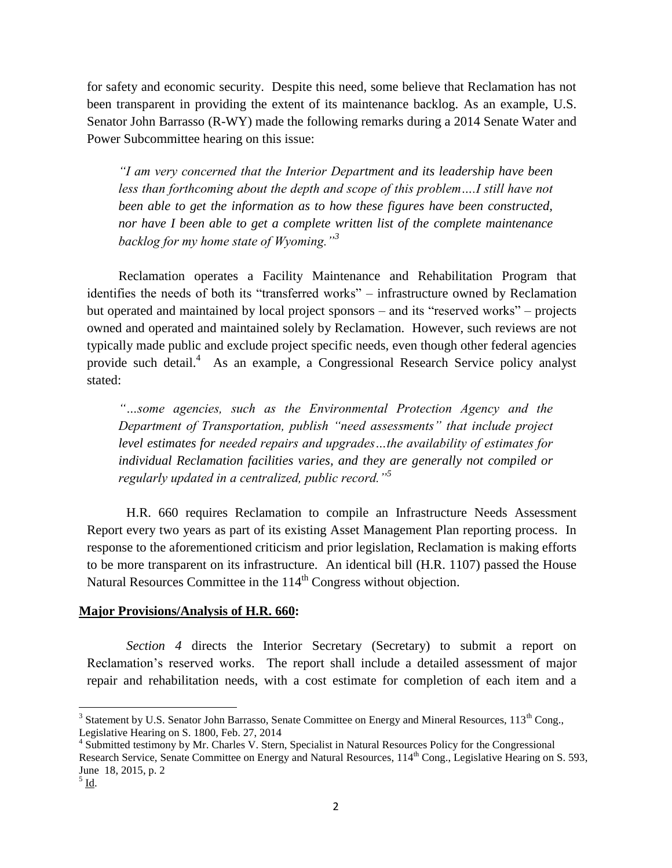for safety and economic security. Despite this need, some believe that Reclamation has not been transparent in providing the extent of its maintenance backlog. As an example, U.S. Senator John Barrasso (R-WY) made the following remarks during a 2014 Senate Water and Power Subcommittee hearing on this issue:

*"I am very concerned that the Interior Department and its leadership have been*  less than forthcoming about the depth and scope of this problem....I still have not *been able to get the information as to how these figures have been constructed, nor have I been able to get a complete written list of the complete maintenance backlog for my home state of Wyoming."<sup>3</sup>* 

Reclamation operates a Facility Maintenance and Rehabilitation Program that identifies the needs of both its "transferred works" – infrastructure owned by Reclamation but operated and maintained by local project sponsors – and its "reserved works" – projects owned and operated and maintained solely by Reclamation. However, such reviews are not typically made public and exclude project specific needs, even though other federal agencies provide such detail.<sup>4</sup> As an example, a Congressional Research Service policy analyst stated:

*"…some agencies, such as the Environmental Protection Agency and the Department of Transportation, publish "need assessments" that include project level estimates for needed repairs and upgrades…the availability of estimates for individual Reclamation facilities varies, and they are generally not compiled or regularly updated in a centralized, public record."<sup>5</sup>*

H.R. 660 requires Reclamation to compile an Infrastructure Needs Assessment Report every two years as part of its existing Asset Management Plan reporting process. In response to the aforementioned criticism and prior legislation, Reclamation is making efforts to be more transparent on its infrastructure. An identical bill (H.R. 1107) passed the House Natural Resources Committee in the 114<sup>th</sup> Congress without objection.

## **Major Provisions/Analysis of H.R. 660:**

*Section 4* directs the Interior Secretary (Secretary) to submit a report on Reclamation's reserved works. The report shall include a detailed assessment of major repair and rehabilitation needs, with a cost estimate for completion of each item and a

<sup>&</sup>lt;sup>3</sup> Statement by U.S. Senator John Barrasso, Senate Committee on Energy and Mineral Resources, 113<sup>th</sup> Cong., Legislative Hearing on S. 1800, Feb. 27, 2014

<sup>&</sup>lt;sup>4</sup> Submitted testimony by Mr. Charles V. Stern, Specialist in Natural Resources Policy for the Congressional Research Service, Senate Committee on Energy and Natural Resources, 114<sup>th</sup> Cong., Legislative Hearing on S. 593, June 18, 2015, p. 2

 $^5$  <u>Id</u>.